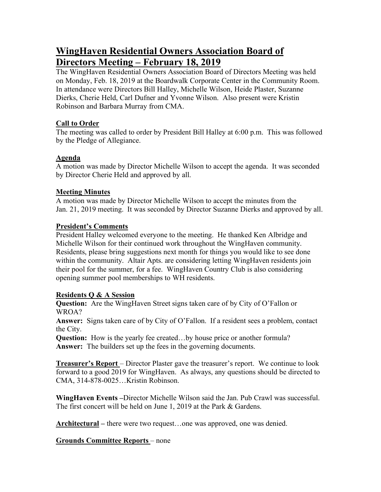# **WingHaven Residential Owners Association Board of Directors Meeting – February 18, 2019**

The WingHaven Residential Owners Association Board of Directors Meeting was held on Monday, Feb. 18, 2019 at the Boardwalk Corporate Center in the Community Room. In attendance were Directors Bill Halley, Michelle Wilson, Heide Plaster, Suzanne Dierks, Cherie Held, Carl Dufner and Yvonne Wilson. Also present were Kristin Robinson and Barbara Murray from CMA.

# **Call to Order**

The meeting was called to order by President Bill Halley at 6:00 p.m. This was followed by the Pledge of Allegiance.

# **Agenda**

A motion was made by Director Michelle Wilson to accept the agenda. It was seconded by Director Cherie Held and approved by all.

# **Meeting Minutes**

A motion was made by Director Michelle Wilson to accept the minutes from the Jan. 21, 2019 meeting. It was seconded by Director Suzanne Dierks and approved by all.

# **President's Comments**

President Halley welcomed everyone to the meeting. He thanked Ken Albridge and Michelle Wilson for their continued work throughout the WingHaven community. Residents, please bring suggestions next month for things you would like to see done within the community. Altair Apts. are considering letting WingHaven residents join their pool for the summer, for a fee. WingHaven Country Club is also considering opening summer pool memberships to WH residents.

# **Residents Q & A Session**

**Question:** Are the WingHaven Street signs taken care of by City of O'Fallon or WROA?

**Answer:** Signs taken care of by City of O'Fallon. If a resident sees a problem, contact the City.

**Question:** How is the yearly fee created...by house price or another formula? **Answer:** The builders set up the fees in the governing documents.

**Treasurer's Report** – Director Plaster gave the treasurer's report. We continue to look forward to a good 2019 for WingHaven. As always, any questions should be directed to CMA, 314-878-0025…Kristin Robinson.

**WingHaven Events –**Director Michelle Wilson said the Jan. Pub Crawl was successful. The first concert will be held on June 1, 2019 at the Park & Gardens.

**Architectural –** there were two request…one was approved, one was denied.

# **Grounds Committee Reports** – none